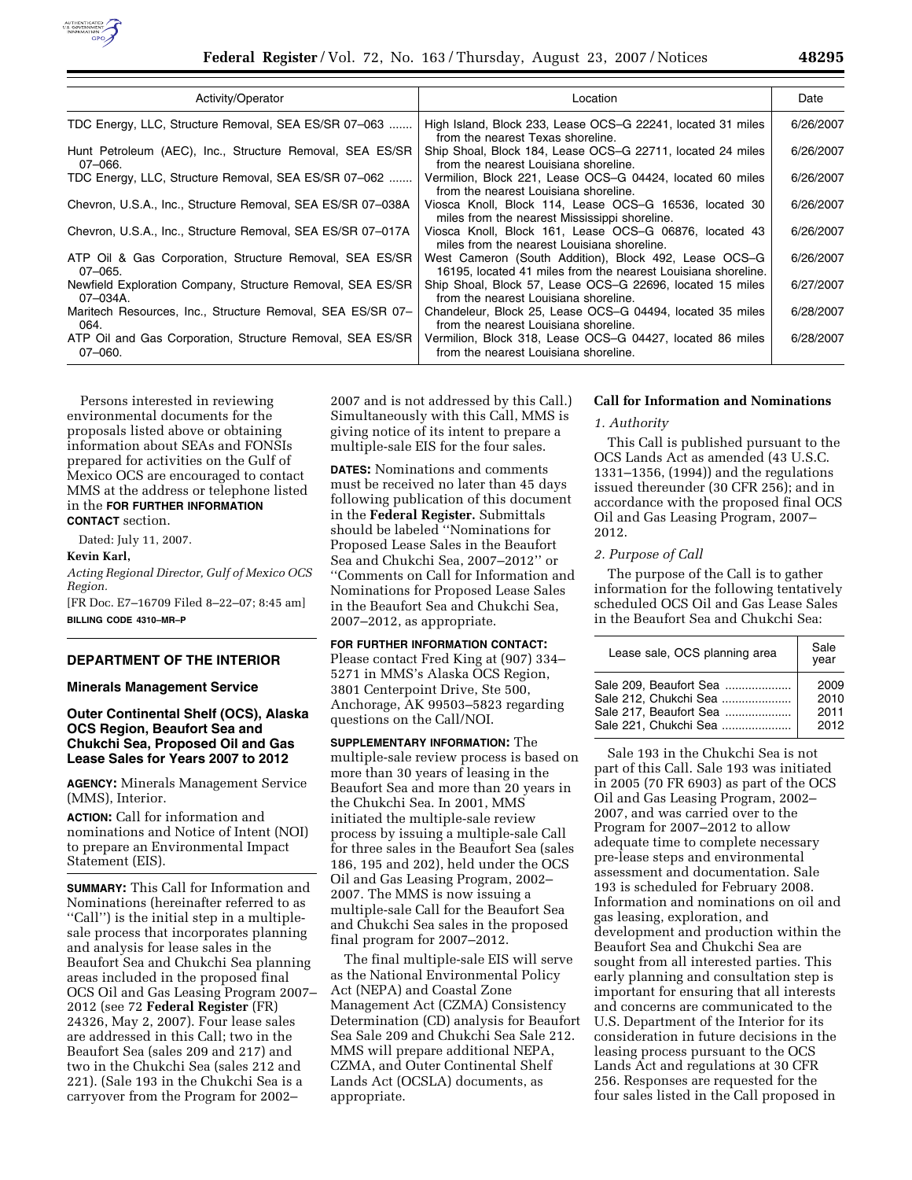

| Activity/Operator                                                        | Location                                                                                                               | Date      |
|--------------------------------------------------------------------------|------------------------------------------------------------------------------------------------------------------------|-----------|
| TDC Energy, LLC, Structure Removal, SEA ES/SR 07-063                     | High Island, Block 233, Lease OCS-G 22241, located 31 miles<br>from the nearest Texas shoreline.                       | 6/26/2007 |
| Hunt Petroleum (AEC), Inc., Structure Removal, SEA ES/SR<br>$07 - 066.$  | Ship Shoal, Block 184, Lease OCS-G 22711, located 24 miles<br>from the nearest Louisiana shoreline.                    | 6/26/2007 |
| TDC Energy, LLC, Structure Removal, SEA ES/SR 07-062                     | Vermilion, Block 221, Lease OCS–G 04424, located 60 miles<br>from the nearest Louisiana shoreline.                     | 6/26/2007 |
| Chevron, U.S.A., Inc., Structure Removal, SEA ES/SR 07-038A              | Viosca Knoll, Block 114, Lease OCS-G 16536, located 30<br>miles from the nearest Mississippi shoreline.                | 6/26/2007 |
| Chevron, U.S.A., Inc., Structure Removal, SEA ES/SR 07-017A              | Viosca Knoll, Block 161, Lease OCS-G 06876, located 43<br>miles from the nearest Louisiana shoreline.                  | 6/26/2007 |
| ATP Oil & Gas Corporation, Structure Removal, SEA ES/SR<br>07-065.       | West Cameron (South Addition), Block 492, Lease OCS–G<br>16195, located 41 miles from the nearest Louisiana shoreline. | 6/26/2007 |
| Newfield Exploration Company, Structure Removal, SEA ES/SR<br>07-034A.   | Ship Shoal, Block 57, Lease OCS-G 22696, located 15 miles<br>from the nearest Louisiana shoreline.                     | 6/27/2007 |
| Maritech Resources, Inc., Structure Removal, SEA ES/SR 07-<br>064.       | Chandeleur, Block 25, Lease OCS-G 04494, located 35 miles<br>from the nearest Louisiana shoreline.                     | 6/28/2007 |
| ATP Oil and Gas Corporation, Structure Removal, SEA ES/SR<br>$07 - 060.$ | Vermilion, Block 318, Lease OCS–G 04427, located 86 miles<br>from the nearest Louisiana shoreline.                     | 6/28/2007 |

Persons interested in reviewing environmental documents for the proposals listed above or obtaining information about SEAs and FONSIs prepared for activities on the Gulf of Mexico OCS are encouraged to contact MMS at the address or telephone listed in the **FOR FURTHER INFORMATION CONTACT** section.

Dated: July 11, 2007.

**Kevin Karl,** 

*Acting Regional Director, Gulf of Mexico OCS Region.*  [FR Doc. E7–16709 Filed 8–22–07; 8:45 am] **BILLING CODE 4310–MR–P** 

**DEPARTMENT OF THE INTERIOR** 

# **Minerals Management Service**

# **Outer Continental Shelf (OCS), Alaska OCS Region, Beaufort Sea and Chukchi Sea, Proposed Oil and Gas Lease Sales for Years 2007 to 2012**

**AGENCY:** Minerals Management Service (MMS), Interior.

**ACTION:** Call for information and nominations and Notice of Intent (NOI) to prepare an Environmental Impact Statement (EIS).

**SUMMARY:** This Call for Information and Nominations (hereinafter referred to as ''Call'') is the initial step in a multiplesale process that incorporates planning and analysis for lease sales in the Beaufort Sea and Chukchi Sea planning areas included in the proposed final OCS Oil and Gas Leasing Program 2007– 2012 (see 72 **Federal Register** (FR) 24326, May 2, 2007). Four lease sales are addressed in this Call; two in the Beaufort Sea (sales 209 and 217) and two in the Chukchi Sea (sales 212 and 221). (Sale 193 in the Chukchi Sea is a carryover from the Program for 2002–

2007 and is not addressed by this Call.) Simultaneously with this Call, MMS is giving notice of its intent to prepare a multiple-sale EIS for the four sales.

**DATES:** Nominations and comments must be received no later than 45 days following publication of this document in the **Federal Register.** Submittals should be labeled ''Nominations for Proposed Lease Sales in the Beaufort Sea and Chukchi Sea, 2007–2012'' or ''Comments on Call for Information and Nominations for Proposed Lease Sales in the Beaufort Sea and Chukchi Sea, 2007–2012, as appropriate.

#### **FOR FURTHER INFORMATION CONTACT:**

Please contact Fred King at (907) 334– 5271 in MMS's Alaska OCS Region, 3801 Centerpoint Drive, Ste 500, Anchorage, AK 99503–5823 regarding questions on the Call/NOI.

**SUPPLEMENTARY INFORMATION:** The multiple-sale review process is based on more than 30 years of leasing in the Beaufort Sea and more than 20 years in the Chukchi Sea. In 2001, MMS initiated the multiple-sale review process by issuing a multiple-sale Call for three sales in the Beaufort Sea (sales 186, 195 and 202), held under the OCS Oil and Gas Leasing Program, 2002– 2007. The MMS is now issuing a multiple-sale Call for the Beaufort Sea and Chukchi Sea sales in the proposed final program for 2007–2012.

The final multiple-sale EIS will serve as the National Environmental Policy Act (NEPA) and Coastal Zone Management Act (CZMA) Consistency Determination (CD) analysis for Beaufort Sea Sale 209 and Chukchi Sea Sale 212. MMS will prepare additional NEPA, CZMA, and Outer Continental Shelf Lands Act (OCSLA) documents, as appropriate.

## **Call for Information and Nominations**

# *1. Authority*

This Call is published pursuant to the OCS Lands Act as amended (43 U.S.C. 1331–1356, (1994)) and the regulations issued thereunder (30 CFR 256); and in accordance with the proposed final OCS Oil and Gas Leasing Program, 2007– 2012.

# *2. Purpose of Call*

The purpose of the Call is to gather information for the following tentatively scheduled OCS Oil and Gas Lease Sales in the Beaufort Sea and Chukchi Sea:

| Lease sale, OCS planning area | Sale<br>vear |
|-------------------------------|--------------|
| Sale 209, Beaufort Sea        | 2009         |
| Sale 212, Chukchi Sea         | 2010         |
| Sale 217, Beaufort Sea        | 2011         |
| Sale 221, Chukchi Sea         | 2012         |

Sale 193 in the Chukchi Sea is not part of this Call. Sale 193 was initiated in 2005 (70 FR 6903) as part of the OCS Oil and Gas Leasing Program, 2002– 2007, and was carried over to the Program for 2007–2012 to allow adequate time to complete necessary pre-lease steps and environmental assessment and documentation. Sale 193 is scheduled for February 2008. Information and nominations on oil and gas leasing, exploration, and development and production within the Beaufort Sea and Chukchi Sea are sought from all interested parties. This early planning and consultation step is important for ensuring that all interests and concerns are communicated to the U.S. Department of the Interior for its consideration in future decisions in the leasing process pursuant to the OCS Lands Act and regulations at 30 CFR 256. Responses are requested for the four sales listed in the Call proposed in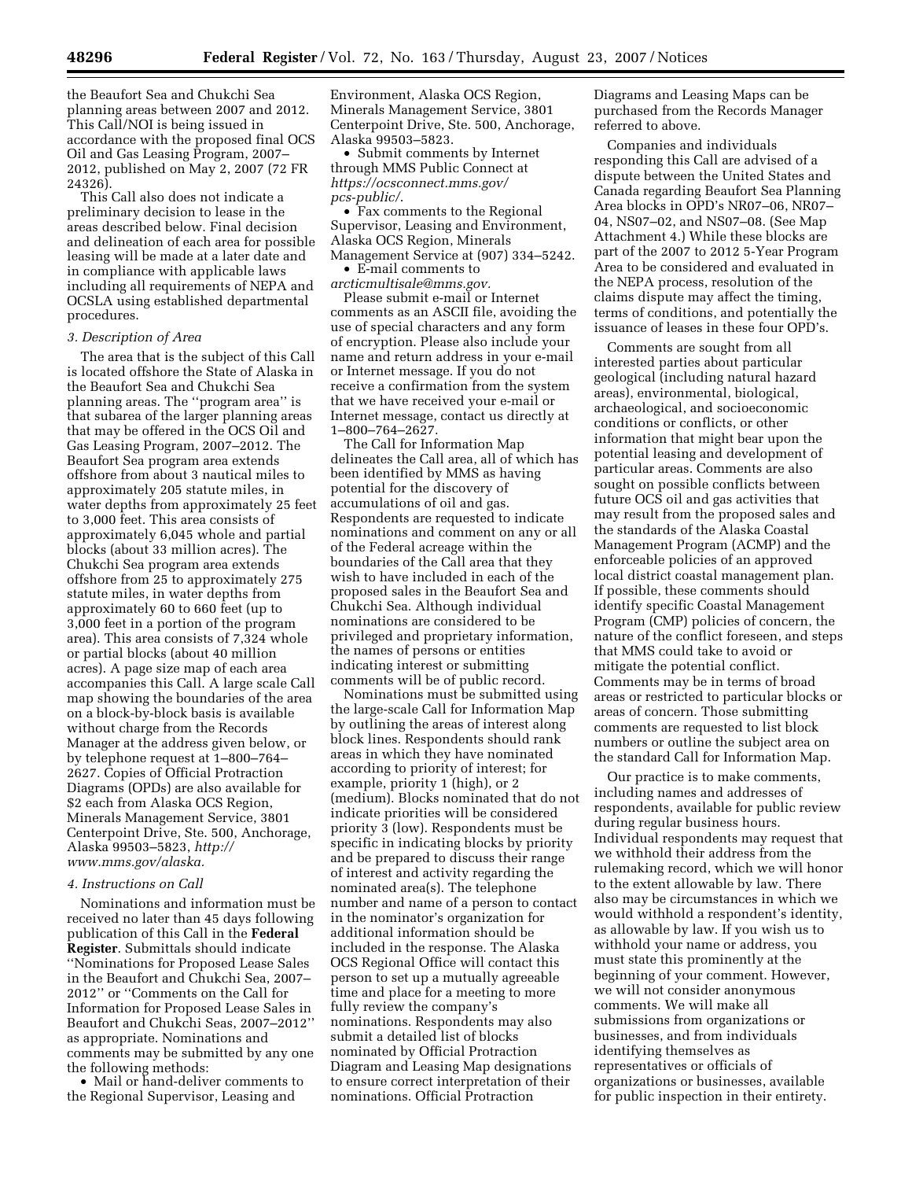the Beaufort Sea and Chukchi Sea planning areas between 2007 and 2012. This Call/NOI is being issued in accordance with the proposed final OCS Oil and Gas Leasing Program, 2007– 2012, published on May 2, 2007 (72 FR 24326).

This Call also does not indicate a preliminary decision to lease in the areas described below. Final decision and delineation of each area for possible leasing will be made at a later date and in compliance with applicable laws including all requirements of NEPA and OCSLA using established departmental procedures.

## *3. Description of Area*

The area that is the subject of this Call is located offshore the State of Alaska in the Beaufort Sea and Chukchi Sea planning areas. The ''program area'' is that subarea of the larger planning areas that may be offered in the OCS Oil and Gas Leasing Program, 2007–2012. The Beaufort Sea program area extends offshore from about 3 nautical miles to approximately 205 statute miles, in water depths from approximately 25 feet to 3,000 feet. This area consists of approximately 6,045 whole and partial blocks (about 33 million acres). The Chukchi Sea program area extends offshore from 25 to approximately 275 statute miles, in water depths from approximately 60 to 660 feet (up to 3,000 feet in a portion of the program area). This area consists of 7,324 whole or partial blocks (about 40 million acres). A page size map of each area accompanies this Call. A large scale Call map showing the boundaries of the area on a block-by-block basis is available without charge from the Records Manager at the address given below, or by telephone request at 1–800–764– 2627. Copies of Official Protraction Diagrams (OPDs) are also available for \$2 each from Alaska OCS Region, Minerals Management Service, 3801 Centerpoint Drive, Ste. 500, Anchorage, Alaska 99503–5823, *http:// www.mms.gov/alaska.* 

#### *4. Instructions on Call*

Nominations and information must be received no later than 45 days following publication of this Call in the **Federal Register**. Submittals should indicate ''Nominations for Proposed Lease Sales in the Beaufort and Chukchi Sea, 2007– 2012'' or ''Comments on the Call for Information for Proposed Lease Sales in Beaufort and Chukchi Seas, 2007–2012'' as appropriate. Nominations and comments may be submitted by any one the following methods:

• Mail or hand-deliver comments to the Regional Supervisor, Leasing and

Environment, Alaska OCS Region, Minerals Management Service, 3801 Centerpoint Drive, Ste. 500, Anchorage, Alaska 99503–5823.

• Submit comments by Internet through MMS Public Connect at *https://ocsconnect.mms.gov/ pcs-public/*.

• Fax comments to the Regional Supervisor, Leasing and Environment, Alaska OCS Region, Minerals Management Service at (907) 334–5242.

• E-mail comments to *arcticmultisale@mms.gov.* 

Please submit e-mail or Internet comments as an ASCII file, avoiding the use of special characters and any form of encryption. Please also include your name and return address in your e-mail or Internet message. If you do not receive a confirmation from the system that we have received your e-mail or Internet message, contact us directly at 1–800–764–2627.

The Call for Information Map delineates the Call area, all of which has been identified by MMS as having potential for the discovery of accumulations of oil and gas. Respondents are requested to indicate nominations and comment on any or all of the Federal acreage within the boundaries of the Call area that they wish to have included in each of the proposed sales in the Beaufort Sea and Chukchi Sea. Although individual nominations are considered to be privileged and proprietary information, the names of persons or entities indicating interest or submitting comments will be of public record.

Nominations must be submitted using the large-scale Call for Information Map by outlining the areas of interest along block lines. Respondents should rank areas in which they have nominated according to priority of interest; for example, priority 1 (high), or 2 (medium). Blocks nominated that do not indicate priorities will be considered priority 3 (low). Respondents must be specific in indicating blocks by priority and be prepared to discuss their range of interest and activity regarding the nominated area(s). The telephone number and name of a person to contact in the nominator's organization for additional information should be included in the response. The Alaska OCS Regional Office will contact this person to set up a mutually agreeable time and place for a meeting to more fully review the company's nominations. Respondents may also submit a detailed list of blocks nominated by Official Protraction Diagram and Leasing Map designations to ensure correct interpretation of their nominations. Official Protraction

Diagrams and Leasing Maps can be purchased from the Records Manager referred to above.

Companies and individuals responding this Call are advised of a dispute between the United States and Canada regarding Beaufort Sea Planning Area blocks in OPD's NR07–06, NR07– 04, NS07–02, and NS07–08. (See Map Attachment 4.) While these blocks are part of the 2007 to 2012 5-Year Program Area to be considered and evaluated in the NEPA process, resolution of the claims dispute may affect the timing, terms of conditions, and potentially the issuance of leases in these four OPD's.

Comments are sought from all interested parties about particular geological (including natural hazard areas), environmental, biological, archaeological, and socioeconomic conditions or conflicts, or other information that might bear upon the potential leasing and development of particular areas. Comments are also sought on possible conflicts between future OCS oil and gas activities that may result from the proposed sales and the standards of the Alaska Coastal Management Program (ACMP) and the enforceable policies of an approved local district coastal management plan. If possible, these comments should identify specific Coastal Management Program (CMP) policies of concern, the nature of the conflict foreseen, and steps that MMS could take to avoid or mitigate the potential conflict. Comments may be in terms of broad areas or restricted to particular blocks or areas of concern. Those submitting comments are requested to list block numbers or outline the subject area on the standard Call for Information Map.

Our practice is to make comments, including names and addresses of respondents, available for public review during regular business hours. Individual respondents may request that we withhold their address from the rulemaking record, which we will honor to the extent allowable by law. There also may be circumstances in which we would withhold a respondent's identity, as allowable by law. If you wish us to withhold your name or address, you must state this prominently at the beginning of your comment. However, we will not consider anonymous comments. We will make all submissions from organizations or businesses, and from individuals identifying themselves as representatives or officials of organizations or businesses, available for public inspection in their entirety.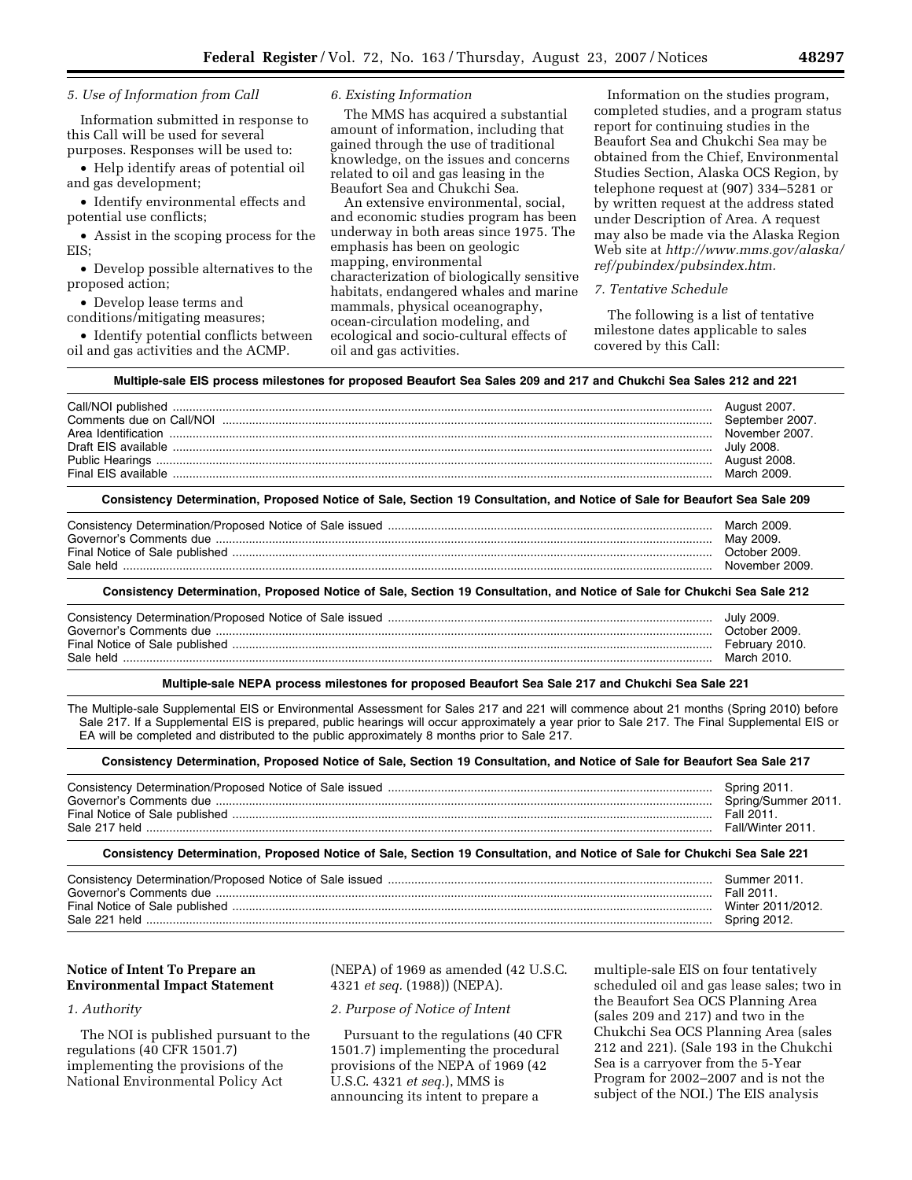# *5. Use of Information from Call*

Information submitted in response to this Call will be used for several purposes. Responses will be used to:

• Help identify areas of potential oil and gas development;

• Identify environmental effects and potential use conflicts;

• Assist in the scoping process for the EIS;

• Develop possible alternatives to the proposed action;

• Develop lease terms and conditions/mitigating measures;

• Identify potential conflicts between oil and gas activities and the ACMP.

## *6. Existing Information*

The MMS has acquired a substantial amount of information, including that gained through the use of traditional knowledge, on the issues and concerns related to oil and gas leasing in the Beaufort Sea and Chukchi Sea.

An extensive environmental, social, and economic studies program has been underway in both areas since 1975. The emphasis has been on geologic mapping, environmental characterization of biologically sensitive habitats, endangered whales and marine mammals, physical oceanography, ocean-circulation modeling, and ecological and socio-cultural effects of oil and gas activities.

Information on the studies program, completed studies, and a program status report for continuing studies in the Beaufort Sea and Chukchi Sea may be obtained from the Chief, Environmental Studies Section, Alaska OCS Region, by telephone request at (907) 334–5281 or by written request at the address stated under Description of Area. A request may also be made via the Alaska Region Web site at *http://www.mms.gov/alaska/ ref/pubindex/pubsindex.htm.* 

#### *7. Tentative Schedule*

The following is a list of tentative milestone dates applicable to sales covered by this Call:

#### **Multiple-sale EIS process milestones for proposed Beaufort Sea Sales 209 and 217 and Chukchi Sea Sales 212 and 221**

|                     | August 2007.    |
|---------------------|-----------------|
|                     | September 2007. |
|                     | November 2007   |
| Draft FIS available | July 2008.      |
|                     | August 2008.    |
| Final FIS available | March 2009      |

### **Consistency Determination, Proposed Notice of Sale, Section 19 Consultation, and Notice of Sale for Beaufort Sea Sale 209**

#### **Consistency Determination, Proposed Notice of Sale, Section 19 Consultation, and Notice of Sale for Chukchi Sea Sale 212**

|                         | July 2009.     |
|-------------------------|----------------|
| Governor's Comments due | October 2009   |
|                         | February 2010. |
| Sale held               | March 2010.    |

#### **Multiple-sale NEPA process milestones for proposed Beaufort Sea Sale 217 and Chukchi Sea Sale 221**

The Multiple-sale Supplemental EIS or Environmental Assessment for Sales 217 and 221 will commence about 21 months (Spring 2010) before Sale 217. If a Supplemental EIS is prepared, public hearings will occur approximately a year prior to Sale 217. The Final Supplemental EIS or EA will be completed and distributed to the public approximately 8 months prior to Sale 217.

#### **Consistency Determination, Proposed Notice of Sale, Section 19 Consultation, and Notice of Sale for Beaufort Sea Sale 217**

| Governor's Comments due<br>Sale 217 held | Spring 2011.<br>Spring/Summer 2011.<br>Fall 2011<br>Fall/Winter 2011 |
|------------------------------------------|----------------------------------------------------------------------|
|------------------------------------------|----------------------------------------------------------------------|

### **Consistency Determination, Proposed Notice of Sale, Section 19 Consultation, and Notice of Sale for Chukchi Sea Sale 221**

| Fall 2011. | Summer 2011.<br>Winter 2011/2012<br>Spring 2012. |
|------------|--------------------------------------------------|
|------------|--------------------------------------------------|

# **Notice of Intent To Prepare an Environmental Impact Statement**

# *1. Authority*

The NOI is published pursuant to the regulations (40 CFR 1501.7) implementing the provisions of the National Environmental Policy Act

(NEPA) of 1969 as amended (42 U.S.C. 4321 *et seq.* (1988)) (NEPA).

# *2. Purpose of Notice of Intent*

Pursuant to the regulations (40 CFR 1501.7) implementing the procedural provisions of the NEPA of 1969 (42 U.S.C. 4321 *et seq.*), MMS is announcing its intent to prepare a

multiple-sale EIS on four tentatively scheduled oil and gas lease sales; two in the Beaufort Sea OCS Planning Area (sales 209 and 217) and two in the Chukchi Sea OCS Planning Area (sales 212 and 221). (Sale 193 in the Chukchi Sea is a carryover from the 5-Year Program for 2002–2007 and is not the subject of the NOI.) The EIS analysis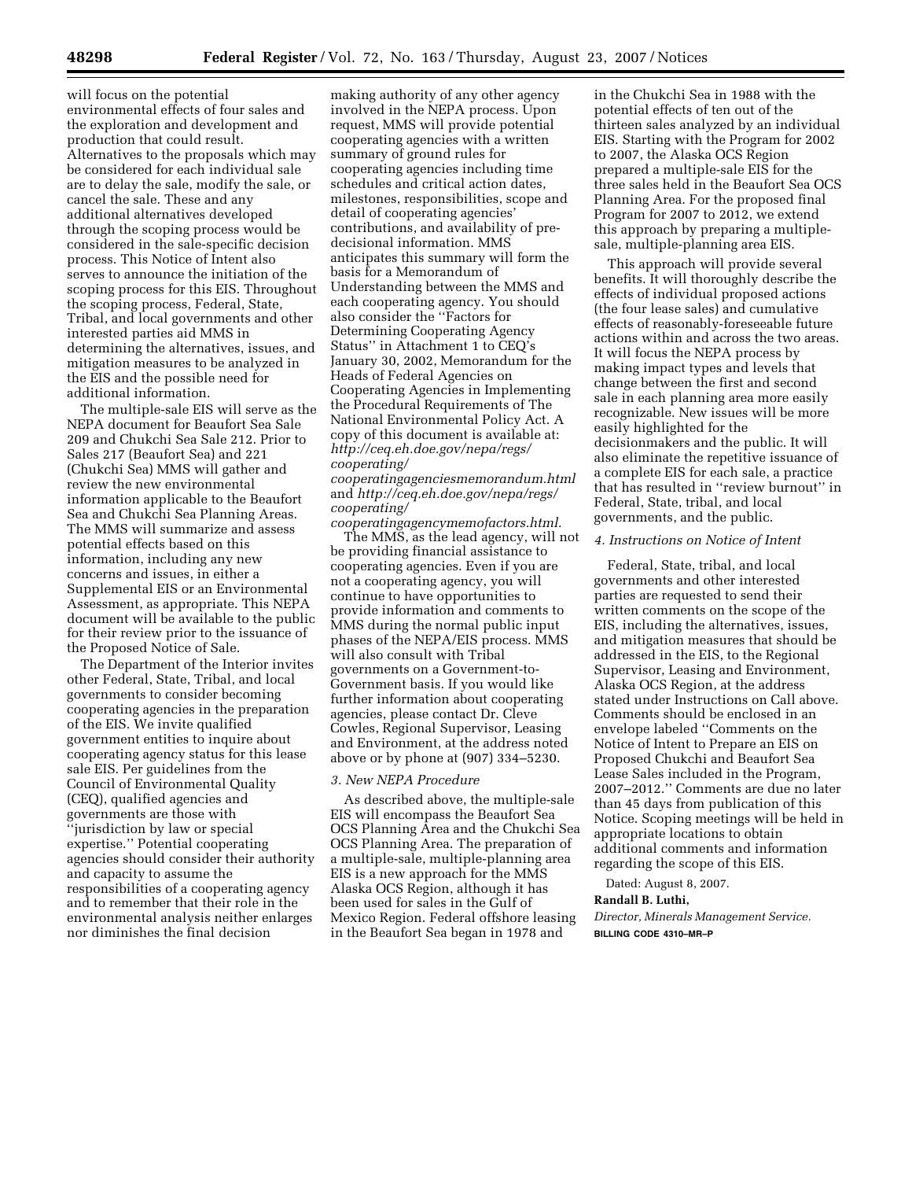will focus on the potential environmental effects of four sales and the exploration and development and production that could result. Alternatives to the proposals which may be considered for each individual sale are to delay the sale, modify the sale, or cancel the sale. These and any additional alternatives developed through the scoping process would be considered in the sale-specific decision process. This Notice of Intent also serves to announce the initiation of the scoping process for this EIS. Throughout the scoping process, Federal, State, Tribal, and local governments and other interested parties aid MMS in determining the alternatives, issues, and mitigation measures to be analyzed in the EIS and the possible need for additional information.

The multiple-sale EIS will serve as the NEPA document for Beaufort Sea Sale 209 and Chukchi Sea Sale 212. Prior to Sales 217 (Beaufort Sea) and 221 (Chukchi Sea) MMS will gather and review the new environmental information applicable to the Beaufort Sea and Chukchi Sea Planning Areas. The MMS will summarize and assess potential effects based on this information, including any new concerns and issues, in either a Supplemental EIS or an Environmental Assessment, as appropriate. This NEPA document will be available to the public for their review prior to the issuance of the Proposed Notice of Sale.

The Department of the Interior invites other Federal, State, Tribal, and local governments to consider becoming cooperating agencies in the preparation of the EIS. We invite qualified government entities to inquire about cooperating agency status for this lease sale EIS. Per guidelines from the Council of Environmental Quality (CEQ), qualified agencies and governments are those with ''jurisdiction by law or special expertise.'' Potential cooperating agencies should consider their authority and capacity to assume the responsibilities of a cooperating agency and to remember that their role in the environmental analysis neither enlarges nor diminishes the final decision

making authority of any other agency involved in the NEPA process. Upon request, MMS will provide potential cooperating agencies with a written summary of ground rules for cooperating agencies including time schedules and critical action dates, milestones, responsibilities, scope and detail of cooperating agencies' contributions, and availability of predecisional information. MMS anticipates this summary will form the basis for a Memorandum of Understanding between the MMS and each cooperating agency. You should also consider the ''Factors for Determining Cooperating Agency Status'' in Attachment 1 to CEQ's January 30, 2002, Memorandum for the Heads of Federal Agencies on Cooperating Agencies in Implementing the Procedural Requirements of The National Environmental Policy Act. A copy of this document is available at: *http://ceq.eh.doe.gov/nepa/regs/ cooperating/* 

*cooperatingagenciesmemorandum.html*  and *http://ceq.eh.doe.gov/nepa/regs/ cooperating/* 

*cooperatingagencymemofactors.html.*  The MMS, as the lead agency, will not be providing financial assistance to cooperating agencies. Even if you are not a cooperating agency, you will continue to have opportunities to provide information and comments to MMS during the normal public input phases of the NEPA/EIS process. MMS will also consult with Tribal governments on a Government-to-Government basis. If you would like further information about cooperating agencies, please contact Dr. Cleve Cowles, Regional Supervisor, Leasing and Environment, at the address noted above or by phone at (907) 334–5230.

#### *3. New NEPA Procedure*

As described above, the multiple-sale EIS will encompass the Beaufort Sea OCS Planning Area and the Chukchi Sea OCS Planning Area. The preparation of a multiple-sale, multiple-planning area EIS is a new approach for the MMS Alaska OCS Region, although it has been used for sales in the Gulf of Mexico Region. Federal offshore leasing in the Beaufort Sea began in 1978 and

in the Chukchi Sea in 1988 with the potential effects of ten out of the thirteen sales analyzed by an individual EIS. Starting with the Program for 2002 to 2007, the Alaska OCS Region prepared a multiple-sale EIS for the three sales held in the Beaufort Sea OCS Planning Area. For the proposed final Program for 2007 to 2012, we extend this approach by preparing a multiplesale, multiple-planning area EIS.

This approach will provide several benefits. It will thoroughly describe the effects of individual proposed actions (the four lease sales) and cumulative effects of reasonably-foreseeable future actions within and across the two areas. It will focus the NEPA process by making impact types and levels that change between the first and second sale in each planning area more easily recognizable. New issues will be more easily highlighted for the decisionmakers and the public. It will also eliminate the repetitive issuance of a complete EIS for each sale, a practice that has resulted in ''review burnout'' in Federal, State, tribal, and local governments, and the public.

# *4. Instructions on Notice of Intent*

Federal, State, tribal, and local governments and other interested parties are requested to send their written comments on the scope of the EIS, including the alternatives, issues, and mitigation measures that should be addressed in the EIS, to the Regional Supervisor, Leasing and Environment, Alaska OCS Region, at the address stated under Instructions on Call above. Comments should be enclosed in an envelope labeled ''Comments on the Notice of Intent to Prepare an EIS on Proposed Chukchi and Beaufort Sea Lease Sales included in the Program, 2007–2012.'' Comments are due no later than 45 days from publication of this Notice. Scoping meetings will be held in appropriate locations to obtain additional comments and information regarding the scope of this EIS.

Dated: August 8, 2007.

# **Randall B. Luthi,**

*Director, Minerals Management Service.*  **BILLING CODE 4310–MR–P**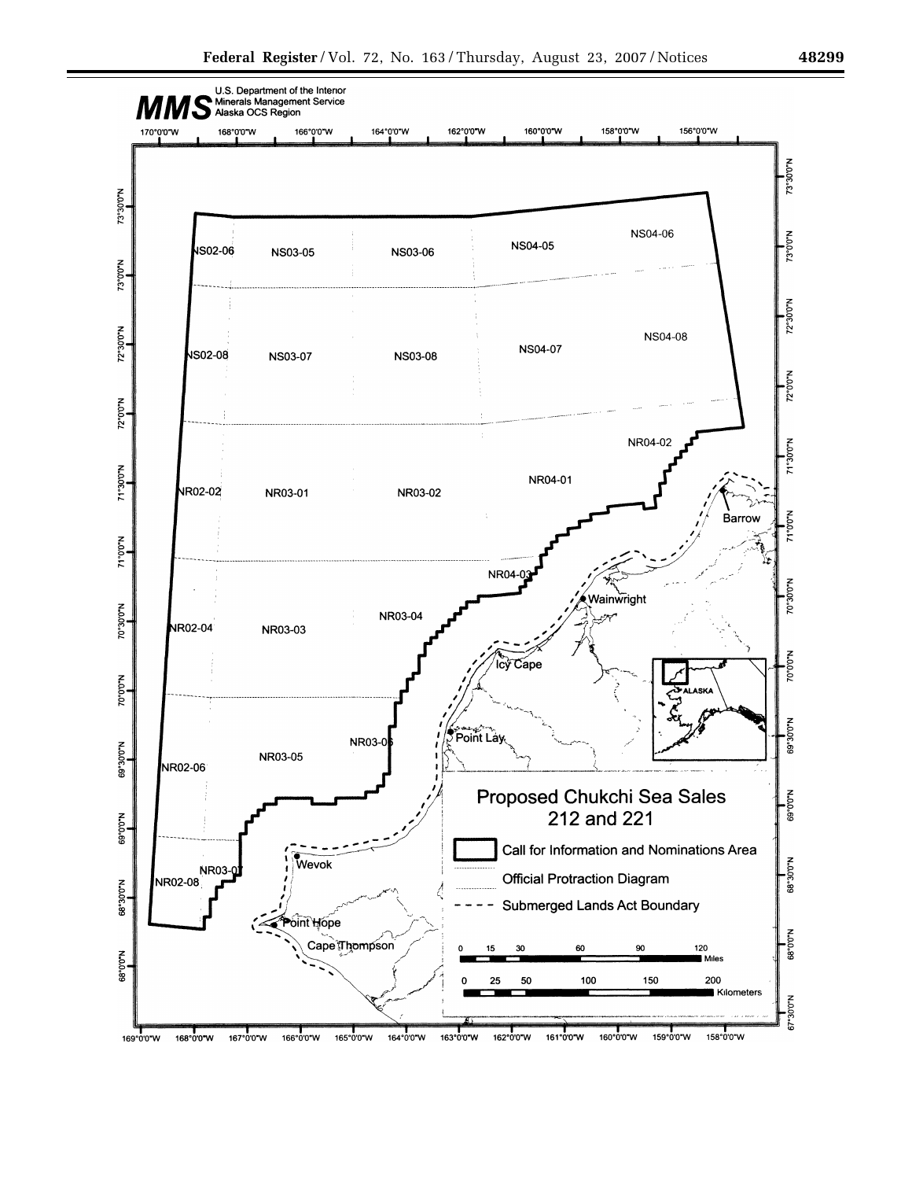